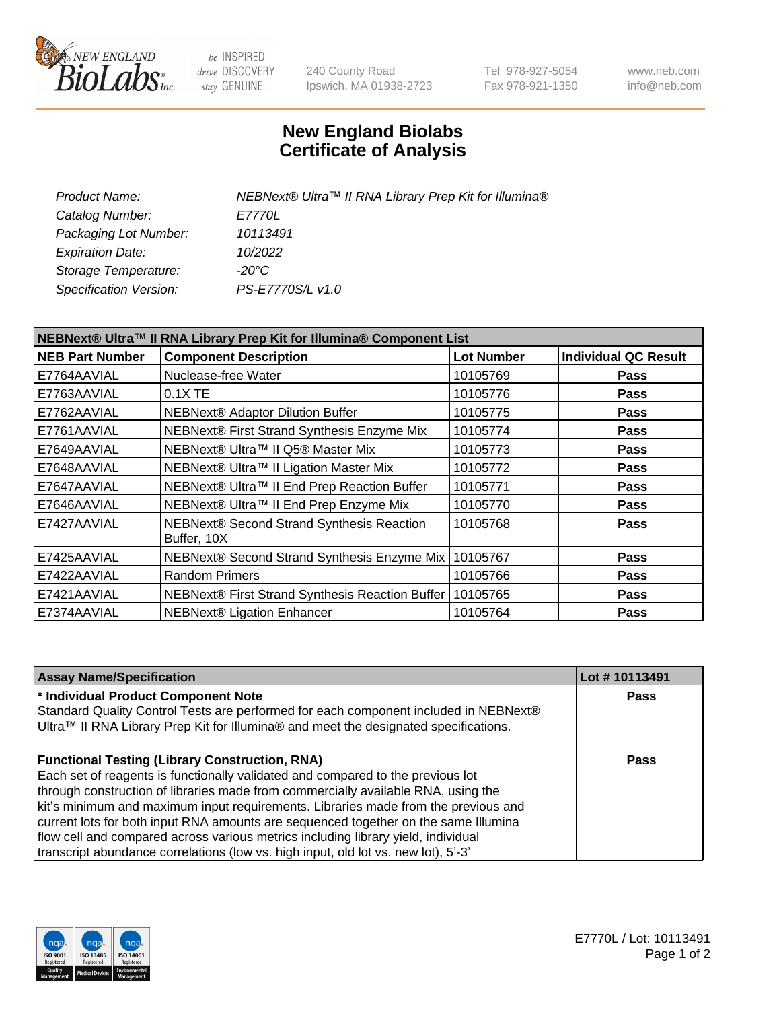

be INSPIRED drive DISCOVERY stay GENUINE

240 County Road Ipswich, MA 01938-2723 Tel 978-927-5054 Fax 978-921-1350 www.neb.com info@neb.com

## **New England Biolabs Certificate of Analysis**

| Product Name:           | NEBNext® Ultra™ II RNA Library Prep Kit for Illumina® |
|-------------------------|-------------------------------------------------------|
| Catalog Number:         | <i>E7770L</i>                                         |
| Packaging Lot Number:   | 10113491                                              |
| <b>Expiration Date:</b> | 10/2022                                               |
| Storage Temperature:    | -20°C                                                 |
| Specification Version:  | PS-E7770S/L v1.0                                      |
|                         |                                                       |

| NEBNext® Ultra™ II RNA Library Prep Kit for Illumina® Component List |                                                            |                   |                             |  |
|----------------------------------------------------------------------|------------------------------------------------------------|-------------------|-----------------------------|--|
| <b>NEB Part Number</b>                                               | <b>Component Description</b>                               | <b>Lot Number</b> | <b>Individual QC Result</b> |  |
| E7764AAVIAL                                                          | Nuclease-free Water                                        | 10105769          | <b>Pass</b>                 |  |
| E7763AAVIAL                                                          | 0.1X TE                                                    | 10105776          | <b>Pass</b>                 |  |
| E7762AAVIAL                                                          | NEBNext® Adaptor Dilution Buffer                           | 10105775          | <b>Pass</b>                 |  |
| E7761AAVIAL                                                          | NEBNext® First Strand Synthesis Enzyme Mix                 | 10105774          | <b>Pass</b>                 |  |
| E7649AAVIAL                                                          | NEBNext® Ultra™ II Q5® Master Mix                          | 10105773          | <b>Pass</b>                 |  |
| E7648AAVIAL                                                          | NEBNext® Ultra™ II Ligation Master Mix                     | 10105772          | <b>Pass</b>                 |  |
| E7647AAVIAL                                                          | NEBNext® Ultra™ II End Prep Reaction Buffer                | 10105771          | <b>Pass</b>                 |  |
| E7646AAVIAL                                                          | NEBNext® Ultra™ II End Prep Enzyme Mix                     | 10105770          | <b>Pass</b>                 |  |
| E7427AAVIAL                                                          | NEBNext® Second Strand Synthesis Reaction<br>Buffer, 10X   | 10105768          | <b>Pass</b>                 |  |
| E7425AAVIAL                                                          | NEBNext® Second Strand Synthesis Enzyme Mix                | 10105767          | <b>Pass</b>                 |  |
| E7422AAVIAL                                                          | <b>Random Primers</b>                                      | 10105766          | <b>Pass</b>                 |  |
| E7421AAVIAL                                                          | NEBNext® First Strand Synthesis Reaction Buffer   10105765 |                   | <b>Pass</b>                 |  |
| E7374AAVIAL                                                          | <b>NEBNext® Ligation Enhancer</b>                          | 10105764          | <b>Pass</b>                 |  |

| <b>Assay Name/Specification</b>                                                      | Lot #10113491 |
|--------------------------------------------------------------------------------------|---------------|
| * Individual Product Component Note                                                  | <b>Pass</b>   |
| Standard Quality Control Tests are performed for each component included in NEBNext® |               |
| Ultra™ II RNA Library Prep Kit for Illumina® and meet the designated specifications. |               |
| <b>Functional Testing (Library Construction, RNA)</b>                                | Pass          |
| Each set of reagents is functionally validated and compared to the previous lot      |               |
| through construction of libraries made from commercially available RNA, using the    |               |
| kit's minimum and maximum input requirements. Libraries made from the previous and   |               |
| current lots for both input RNA amounts are sequenced together on the same Illumina  |               |
| flow cell and compared across various metrics including library yield, individual    |               |
| transcript abundance correlations (low vs. high input, old lot vs. new lot), 5'-3'   |               |